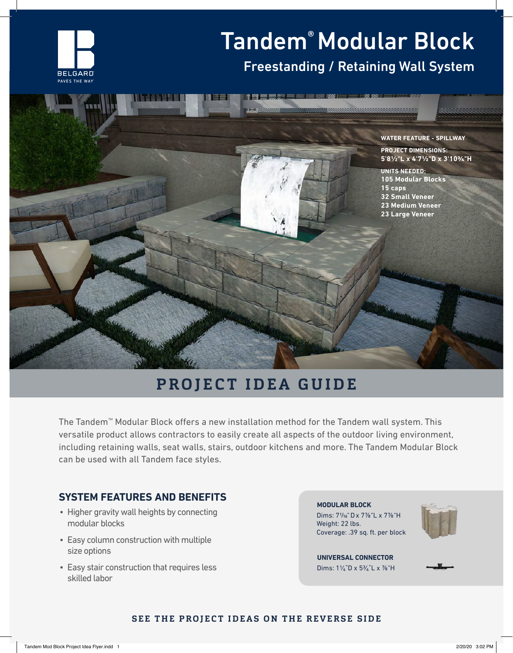

# Tandem® Modular Block

## Freestanding / Retaining Wall System



# **PROJECT IDEA GUIDE**

The Tandem™ Modular Block offers a new installation method for the Tandem wall system. This versatile product allows contractors to easily create all aspects of the outdoor living environment, including retaining walls, seat walls, stairs, outdoor kitchens and more. The Tandem Modular Block can be used with all Tandem face styles.

#### **SYSTEM FEATURES AND BENEFITS**

- Higher gravity wall heights by connecting modular blocks
- Easy column construction with multiple size options
- Easy stair construction that requires less skilled labor

Dims: 71/16" D x 7⅞"L x 7⅞"H Weight: 22 lbs. Coverage: .39 sq. ft. per block **MODULAR BLOCK**



Dims: 11∕₄"D x 53∕₄"L x ⅞"H **UNIVERSAL CONNECTOR**



#### **SEE THE PROJECT IDEAS ON THE REVERSE SIDE**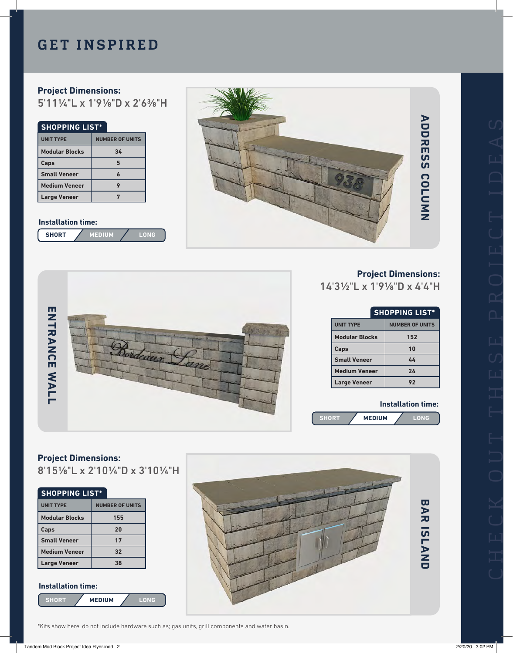### **GET INSPIRED**

#### **Project Dimensions:**

5'111/4"L x 1'91/8"D x 2'63/8"H

#### **SHOPPING LIST\***

| <b>UNIT TYPE</b>      | <b>NUMBER OF UNITS</b> |
|-----------------------|------------------------|
| <b>Modular Blocks</b> | 34                     |
| Caps                  |                        |
| <b>Small Veneer</b>   |                        |
| <b>Medium Veneer</b>  |                        |
| <b>Large Veneer</b>   |                        |

#### **Installation time:**

| <b>SHORT</b> | VEDIUM |  |  |
|--------------|--------|--|--|
|--------------|--------|--|--|



# **ADDRESS COLUMN ADDRESS COLUMN**



# **Project Dimensions:**

14'31/2"L x 1'91/8"D x 4'4"H

| <b>SHOPPING LIST*</b> |                        |
|-----------------------|------------------------|
| <b>UNIT TYPE</b>      | <b>NUMBER OF UNITS</b> |
| <b>Modular Blocks</b> | 152                    |
| Caps                  | 10                     |
| <b>Small Veneer</b>   | 44                     |
| <b>Medium Veneer</b>  | 24                     |
| <b>Large Veneer</b>   | 92                     |

#### **Installation time:**



#### **Project Dimensions:**

8'151/8"L x 2'101/4"D x 3'101/4"H

#### **SHOPPING LIST\***

| <b>UNIT TYPE</b>      | <b>NUMBER OF UNITS</b> |
|-----------------------|------------------------|
| <b>Modular Blocks</b> | 155                    |
| Caps                  | 20                     |
| <b>Small Veneer</b>   | 17                     |
| <b>Medium Veneer</b>  | 32                     |
| <b>Large Veneer</b>   | 38                     |

#### **Installation time:**

**SHORT MEDIUM LONG**

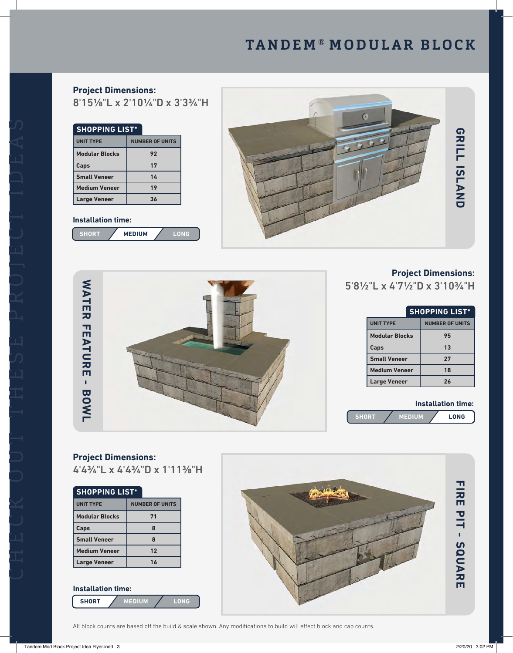# **TANDEM ® MODULAR BLOCK**

**Project Dimensions:** 8'151/8"L x 2'101/4"D x 3'33/4"H

| <b>SHOPPING LIST*</b> |                        |  |
|-----------------------|------------------------|--|
| <b>UNIT TYPE</b>      | <b>NUMBER OF UNITS</b> |  |
| <b>Modular Blocks</b> | 92                     |  |
| Caps                  | 17                     |  |
| <b>Small Veneer</b>   | 14                     |  |
| <b>Medium Veneer</b>  | 19                     |  |
| <b>Large Veneer</b>   | 36                     |  |

#### **Installation time:**







#### **Project Dimensions:**

5'81/2"L x 4'71/2"D x 3'103/4"H

| <b>SHOPPING LIST*</b> |                        |
|-----------------------|------------------------|
| <b>UNIT TYPE</b>      | <b>NUMBER OF UNITS</b> |
| <b>Modular Blocks</b> | 95                     |
| Caps                  | 13                     |
| <b>Small Veneer</b>   | 27                     |
| <b>Medium Veneer</b>  | 18                     |
| <b>Large Veneer</b>   | 26                     |

#### **Installation time:**



#### **Project Dimensions:** 4'43/4"L x 4'43/4"D x 1'113/8"H

#### **SHOPPING LIST\***

| <b>UNIT TYPE</b>      | <b>NUMBER OF UNITS</b> |
|-----------------------|------------------------|
| <b>Modular Blocks</b> | 71                     |
| Caps                  |                        |
| <b>Small Veneer</b>   |                        |
| <b>Medium Veneer</b>  | 12                     |
| <b>Large Veneer</b>   | 1 <sub>k</sub>         |

#### **SHORT MEDIUM LONG Installation time:**



All block counts are based off the build & scale shown. Any modifications to build will effect block and cap counts.